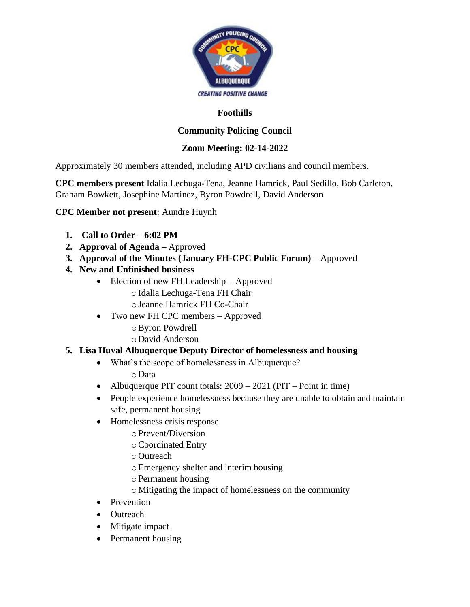

### **Foothills**

# **Community Policing Council**

## **Zoom Meeting: 02-14-2022**

Approximately 30 members attended, including APD civilians and council members.

**CPC members present** Idalia Lechuga-Tena, Jeanne Hamrick, Paul Sedillo, Bob Carleton, Graham Bowkett, Josephine Martinez, Byron Powdrell, David Anderson

## **CPC Member not present**: Aundre Huynh

- **1. Call to Order – 6:02 PM**
- **2. Approval of Agenda –** Approved
- **3. Approval of the Minutes (January FH-CPC Public Forum) –** Approved
- **4. New and Unfinished business**
	- Election of new FH Leadership Approved oIdalia Lechuga-Tena FH Chair
		- oJeanne Hamrick FH Co-Chair
	- Two new FH CPC members Approved
		- oByron Powdrell
		- oDavid Anderson

## **5. Lisa Huval Albuquerque Deputy Director of homelessness and housing**

- What's the scope of homelessness in Albuquerque? oData
- Albuquerque PIT count totals:  $2009 2021$  (PIT Point in time)
- People experience homelessness because they are unable to obtain and maintain safe, permanent housing
- Homelessness crisis response
	- oPrevent**/**Diversion
	- oCoordinated Entry
	- oOutreach
	- oEmergency shelter and interim housing
	- oPermanent housing
	- oMitigating the impact of homelessness on the community
- Prevention
- Outreach
- Mitigate impact
- Permanent housing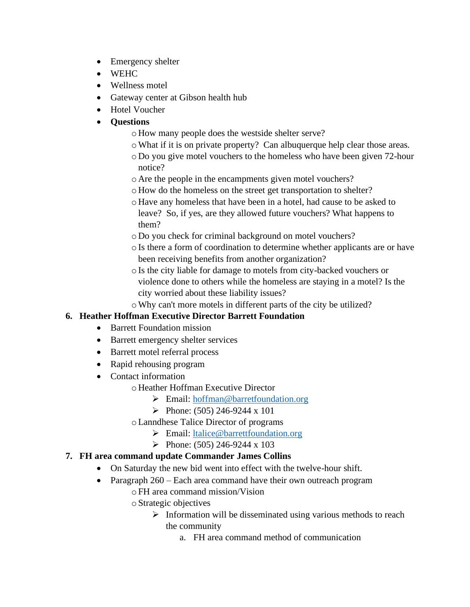- Emergency shelter
- WEHC
- Wellness motel
- Gateway center at Gibson health hub
- Hotel Voucher
- **Questions**
	- oHow many people does the westside shelter serve?
	- oWhat if it is on private property? Can albuquerque help clear those areas.
	- oDo you give motel vouchers to the homeless who have been given 72-hour notice?
	- oAre the people in the encampments given motel vouchers?
	- oHow do the homeless on the street get transportation to shelter?
	- oHave any homeless that have been in a hotel, had cause to be asked to leave? So, if yes, are they allowed future vouchers? What happens to them?
	- oDo you check for criminal background on motel vouchers?
	- oIs there a form of coordination to determine whether applicants are or have been receiving benefits from another organization?
	- oIs the city liable for damage to motels from city-backed vouchers or violence done to others while the homeless are staying in a motel? Is the city worried about these liability issues?

oWhy can't more motels in different parts of the city be utilized?

## **6. Heather Hoffman Executive Director Barrett Foundation**

- Barrett Foundation mission
- Barrett emergency shelter services
- Barrett motel referral process
- Rapid rehousing program
- Contact information
	- oHeather Hoffman Executive Director
		- ➢ Email: [hoffman@barretfoundation.org](mailto:hoffman@barretfoundation.org)
		- $\blacktriangleright$  Phone: (505) 246-9244 x 101
	- oLanndhese Talice Director of programs
		- ➢ Email: [ltalice@barrettfoundation.org](mailto:ltalice@barrettfoundation.org)
		- $\blacktriangleright$  Phone: (505) 246-9244 x 103

## **7. FH area command update Commander James Collins**

- On Saturday the new bid went into effect with the twelve-hour shift.
- Paragraph 260 Each area command have their own outreach program
	- oFH area command mission/Vision
	- oStrategic objectives
		- $\triangleright$  Information will be disseminated using various methods to reach the community
			- a. FH area command method of communication